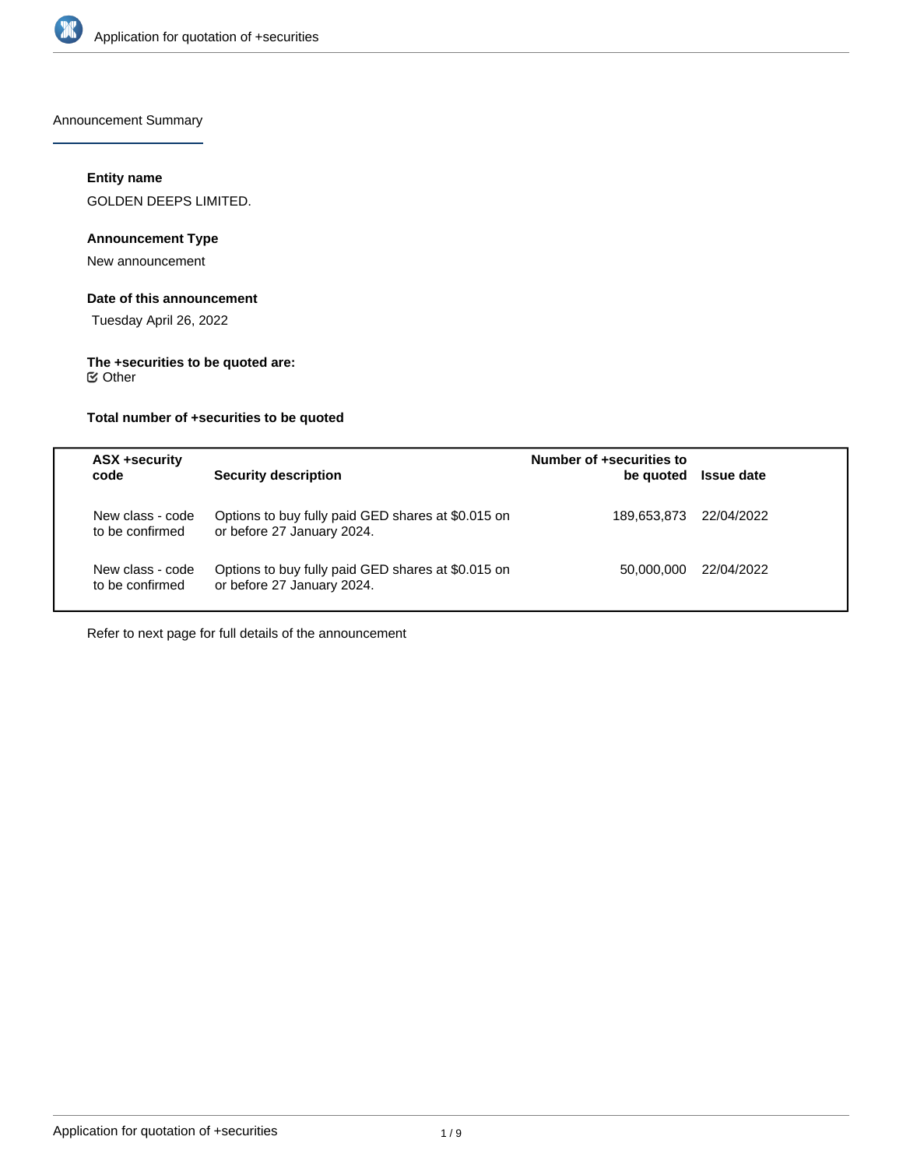

Announcement Summary

# **Entity name**

GOLDEN DEEPS LIMITED.

# **Announcement Type**

New announcement

### **Date of this announcement**

Tuesday April 26, 2022

# **The +securities to be quoted are:**

Other

# **Total number of +securities to be quoted**

| <b>ASX +security</b><br>code        | <b>Security description</b>                                                      | Number of +securities to<br>be quoted | <b>Issue date</b> |
|-------------------------------------|----------------------------------------------------------------------------------|---------------------------------------|-------------------|
| New class - code<br>to be confirmed | Options to buy fully paid GED shares at \$0.015 on<br>or before 27 January 2024. | 189.653.873                           | 22/04/2022        |
| New class - code<br>to be confirmed | Options to buy fully paid GED shares at \$0.015 on<br>or before 27 January 2024. | 50.000.000                            | 22/04/2022        |

Refer to next page for full details of the announcement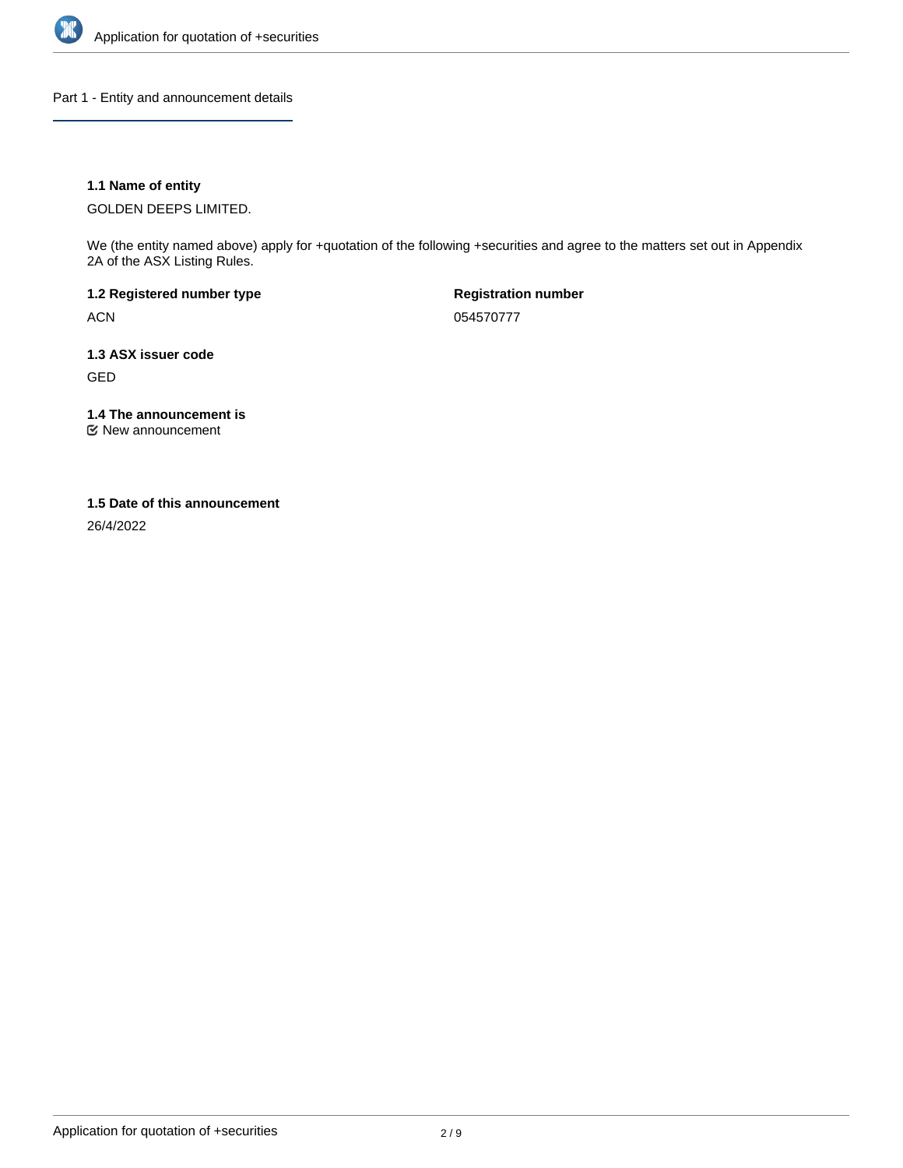

Part 1 - Entity and announcement details

# **1.1 Name of entity**

GOLDEN DEEPS LIMITED.

We (the entity named above) apply for +quotation of the following +securities and agree to the matters set out in Appendix 2A of the ASX Listing Rules.

**1.2 Registered number type** ACN

**Registration number** 054570777

**1.3 ASX issuer code** GED

**1.4 The announcement is**

New announcement

#### **1.5 Date of this announcement**

26/4/2022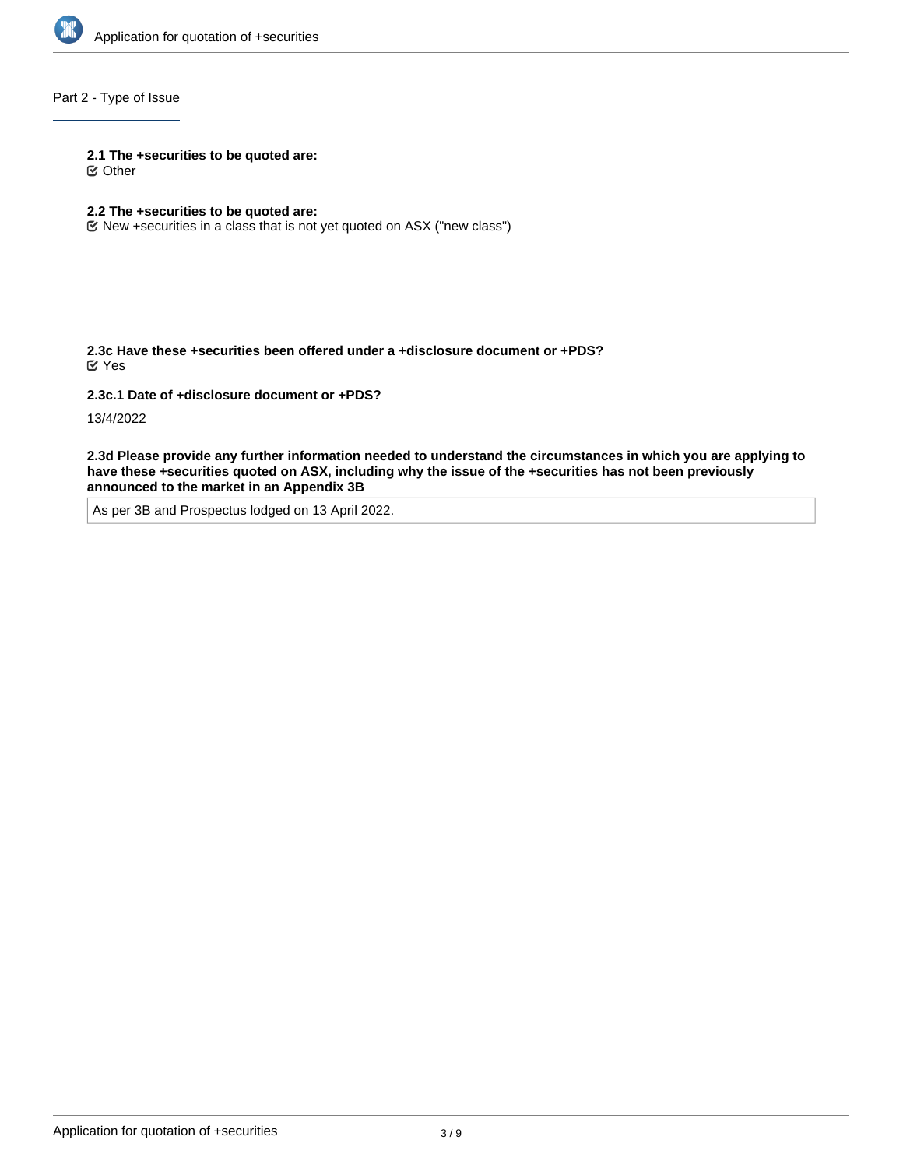

# Part 2 - Type of Issue

#### **2.1 The +securities to be quoted are:**

Other

# **2.2 The +securities to be quoted are:**

New +securities in a class that is not yet quoted on ASX ("new class")

**2.3c Have these +securities been offered under a +disclosure document or +PDS?** Yes

**2.3c.1 Date of +disclosure document or +PDS?**

13/4/2022

**2.3d Please provide any further information needed to understand the circumstances in which you are applying to have these +securities quoted on ASX, including why the issue of the +securities has not been previously announced to the market in an Appendix 3B**

As per 3B and Prospectus lodged on 13 April 2022.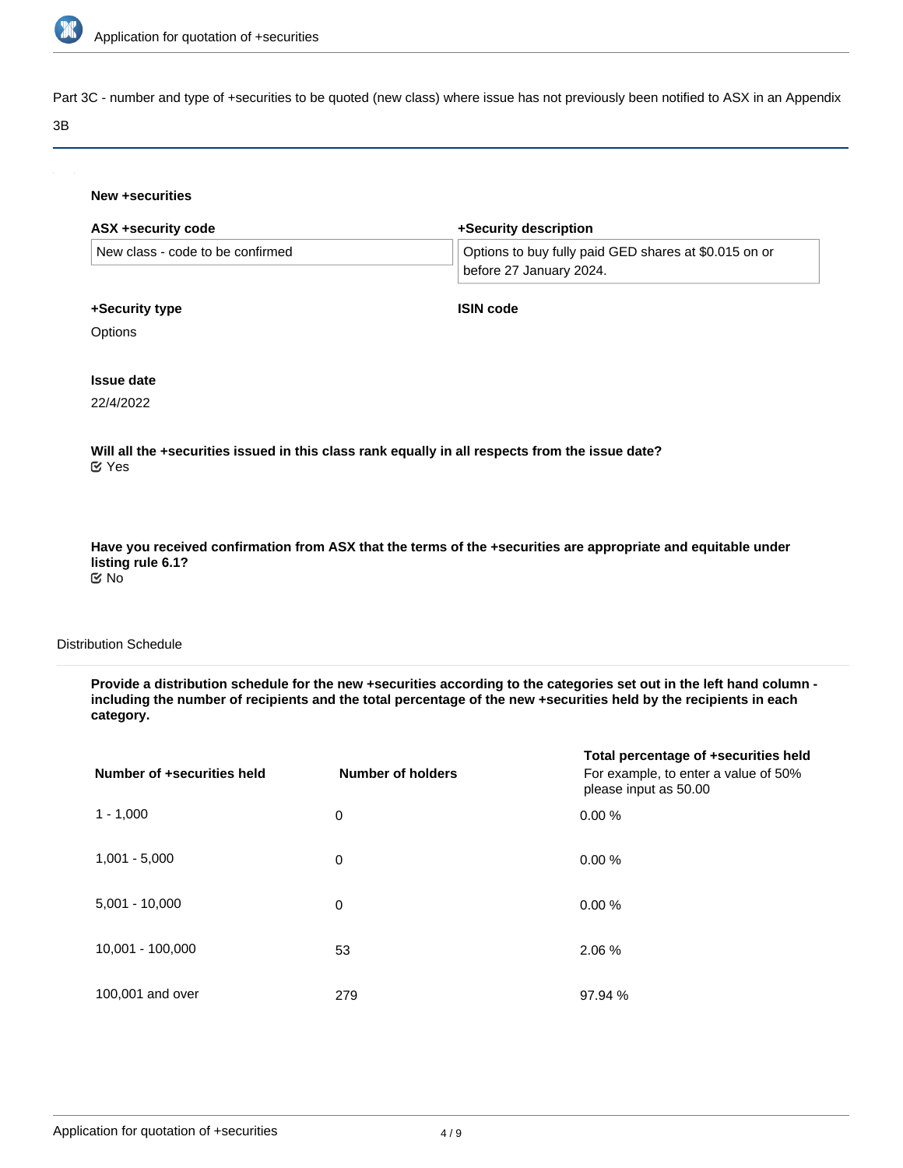

Part 3C - number and type of +securities to be quoted (new class) where issue has not previously been notified to ASX in an Appendix

#### 3B

#### **New +securities**

| +Security description                                                            |  |
|----------------------------------------------------------------------------------|--|
| Options to buy fully paid GED shares at \$0.015 on or<br>before 27 January 2024. |  |
| <b>ISIN code</b>                                                                 |  |
|                                                                                  |  |
|                                                                                  |  |
|                                                                                  |  |
|                                                                                  |  |

**Will all the +securities issued in this class rank equally in all respects from the issue date?** Yes

**Have you received confirmation from ASX that the terms of the +securities are appropriate and equitable under listing rule 6.1?** No

# Distribution Schedule

**Provide a distribution schedule for the new +securities according to the categories set out in the left hand column including the number of recipients and the total percentage of the new +securities held by the recipients in each category.**

| Number of +securities held | <b>Number of holders</b> | Total percentage of +securities held<br>For example, to enter a value of 50%<br>please input as 50.00 |
|----------------------------|--------------------------|-------------------------------------------------------------------------------------------------------|
| $1 - 1,000$                | 0                        | 0.00%                                                                                                 |
| $1,001 - 5,000$            | 0                        | 0.00%                                                                                                 |
| $5,001 - 10,000$           | 0                        | 0.00%                                                                                                 |
| 10,001 - 100,000           | 53                       | 2.06 %                                                                                                |
| 100,001 and over           | 279                      | 97.94 %                                                                                               |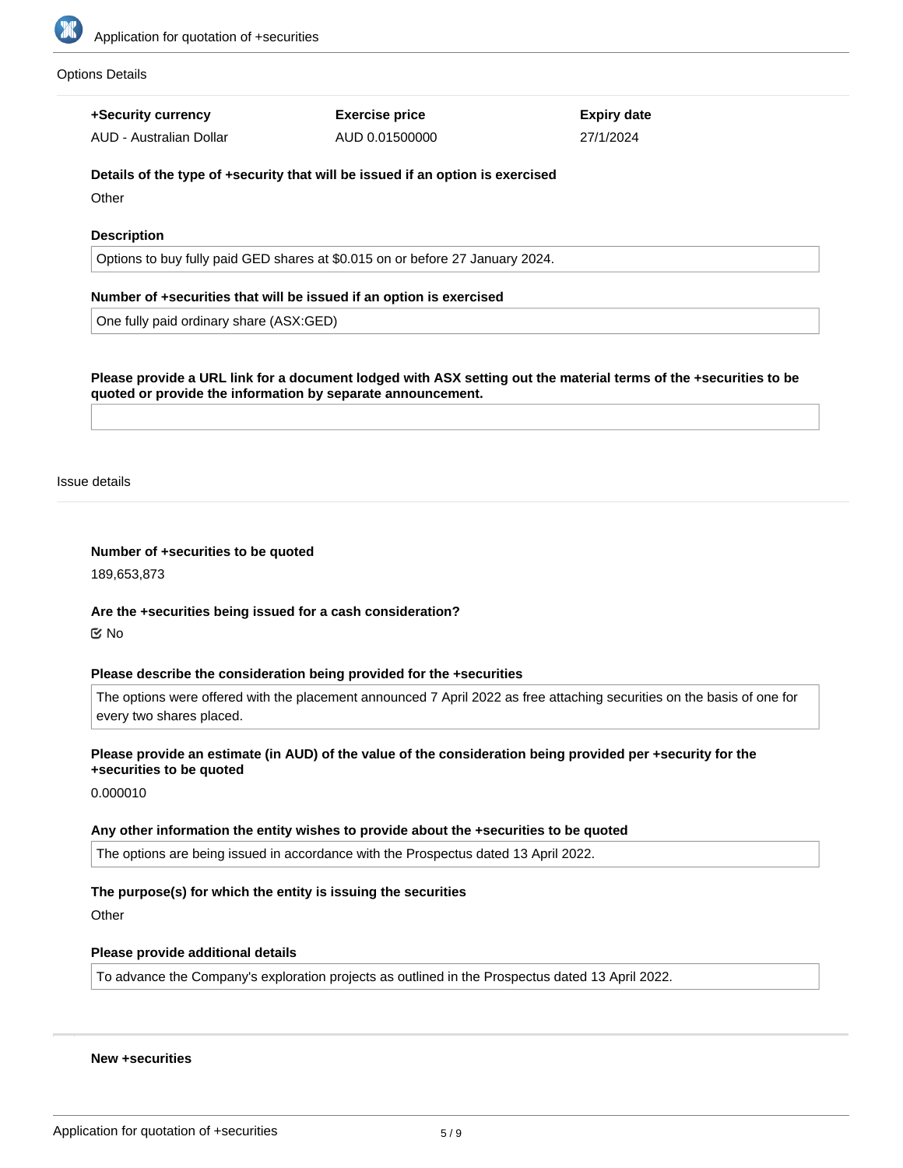

#### Options Details

**+Security currency**

AUD - Australian Dollar

**Exercise price** AUD 0.01500000 **Expiry date** 27/1/2024

# **Details of the type of +security that will be issued if an option is exercised**

**Other** 

# **Description**

Options to buy fully paid GED shares at \$0.015 on or before 27 January 2024.

# **Number of +securities that will be issued if an option is exercised**

One fully paid ordinary share (ASX:GED)

**Please provide a URL link for a document lodged with ASX setting out the material terms of the +securities to be quoted or provide the information by separate announcement.**

Issue details

#### **Number of +securities to be quoted**

189,653,873

#### **Are the +securities being issued for a cash consideration?**

No

#### **Please describe the consideration being provided for the +securities**

The options were offered with the placement announced 7 April 2022 as free attaching securities on the basis of one for every two shares placed.

#### **Please provide an estimate (in AUD) of the value of the consideration being provided per +security for the +securities to be quoted**

0.000010

# **Any other information the entity wishes to provide about the +securities to be quoted**

The options are being issued in accordance with the Prospectus dated 13 April 2022.

# **The purpose(s) for which the entity is issuing the securities**

**Other** 

# **Please provide additional details**

To advance the Company's exploration projects as outlined in the Prospectus dated 13 April 2022.

# **New +securities**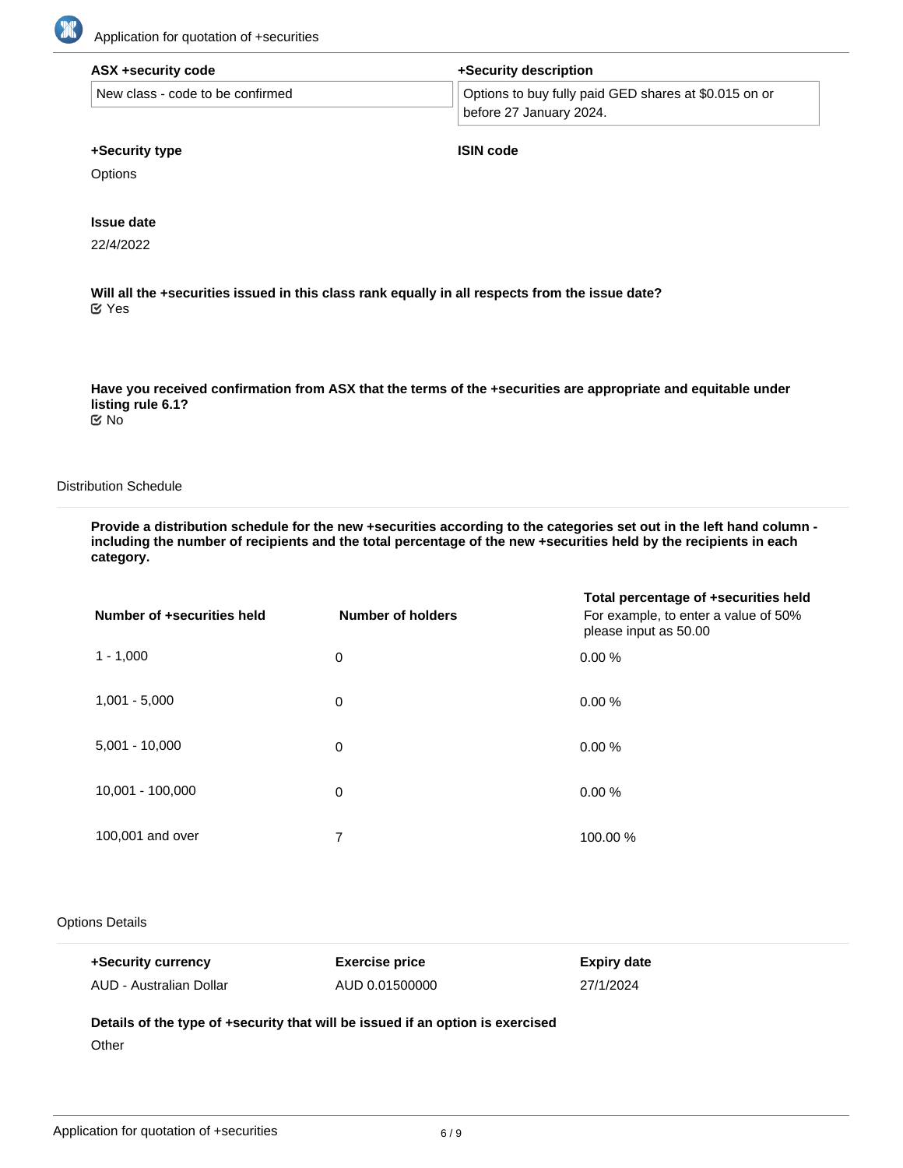

| ASX +security code               | +Security description                                 |  |
|----------------------------------|-------------------------------------------------------|--|
| New class - code to be confirmed | Options to buy fully paid GED shares at \$0.015 on or |  |
|                                  | before 27 January 2024.                               |  |

#### **+Security type**

**ISIN code**

**Options** 

#### **Issue date**

22/4/2022

**Will all the +securities issued in this class rank equally in all respects from the issue date?** Yes

**Have you received confirmation from ASX that the terms of the +securities are appropriate and equitable under listing rule 6.1?** No

#### Distribution Schedule

**Provide a distribution schedule for the new +securities according to the categories set out in the left hand column including the number of recipients and the total percentage of the new +securities held by the recipients in each category.**

| Number of +securities held | <b>Number of holders</b> | Total percentage of +securities held<br>For example, to enter a value of 50%<br>please input as 50.00 |
|----------------------------|--------------------------|-------------------------------------------------------------------------------------------------------|
| $1 - 1,000$                | 0                        | 0.00%                                                                                                 |
| $1,001 - 5,000$            | 0                        | 0.00%                                                                                                 |
| $5,001 - 10,000$           | 0                        | 0.00%                                                                                                 |
| 10,001 - 100,000           | 0                        | 0.00%                                                                                                 |
| 100,001 and over           | 7                        | 100.00 %                                                                                              |

#### Options Details

| +Security currency      | <b>Exercise price</b> | Expiry date |
|-------------------------|-----------------------|-------------|
| AUD - Australian Dollar | AUD 0.01500000        | 27/1/2024   |

**Details of the type of +security that will be issued if an option is exercised**

**Other**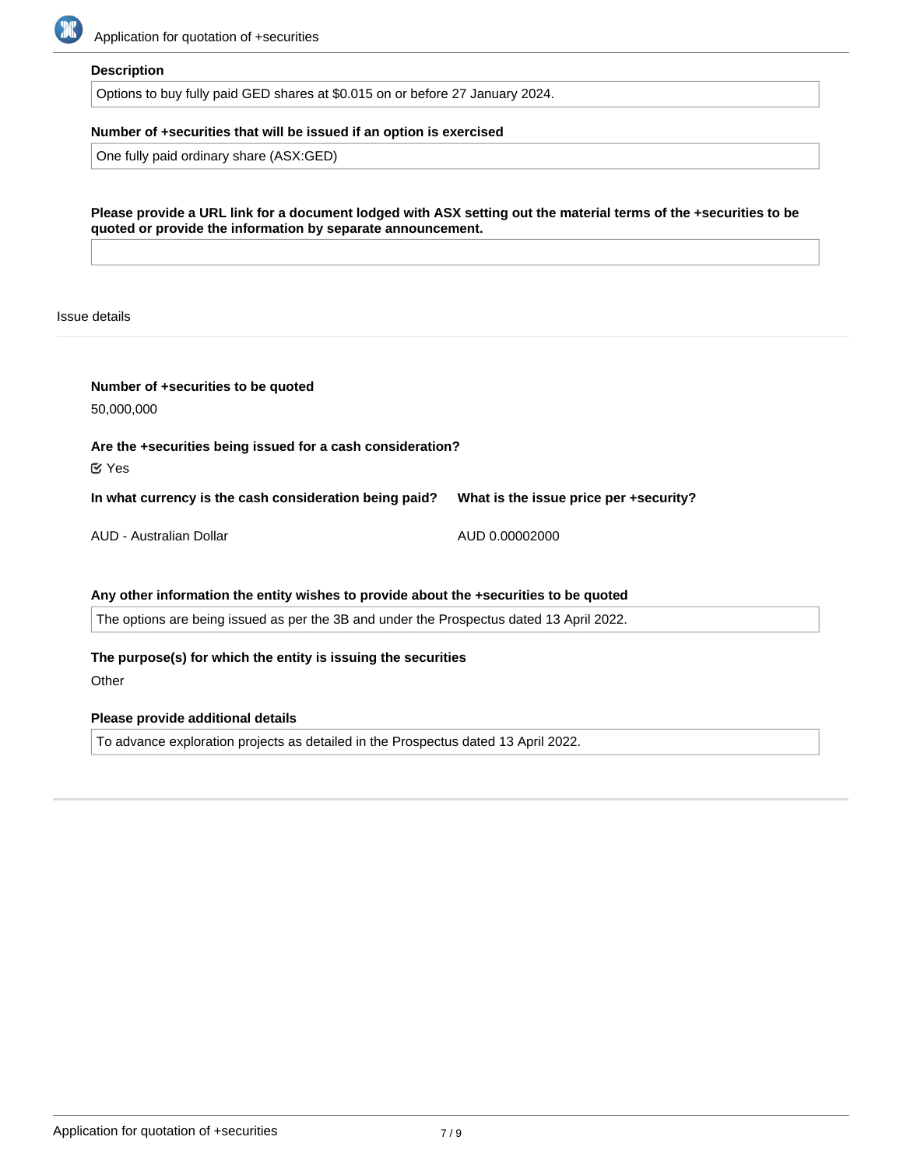

#### **Description**

Options to buy fully paid GED shares at \$0.015 on or before 27 January 2024.

# **Number of +securities that will be issued if an option is exercised**

One fully paid ordinary share (ASX:GED)

| Please provide a URL link for a document lodged with ASX setting out the material terms of the +securities to be |
|------------------------------------------------------------------------------------------------------------------|
| quoted or provide the information by separate announcement.                                                      |

Issue details

| Number of +securities to be quoted<br>50,000,000                                         |                                        |  |  |
|------------------------------------------------------------------------------------------|----------------------------------------|--|--|
| Are the +securities being issued for a cash consideration?<br>$\mathfrak{C}$ Yes         |                                        |  |  |
| In what currency is the cash consideration being paid?                                   | What is the issue price per +security? |  |  |
| AUD - Australian Dollar                                                                  | AUD 0.00002000                         |  |  |
| Any other information the entity wishes to provide about the +securities to be quoted    |                                        |  |  |
| The options are being issued as per the 3B and under the Prospectus dated 13 April 2022. |                                        |  |  |
| The purpose(s) for which the entity is issuing the securities                            |                                        |  |  |
| Other                                                                                    |                                        |  |  |

# **Please provide additional details**

To advance exploration projects as detailed in the Prospectus dated 13 April 2022.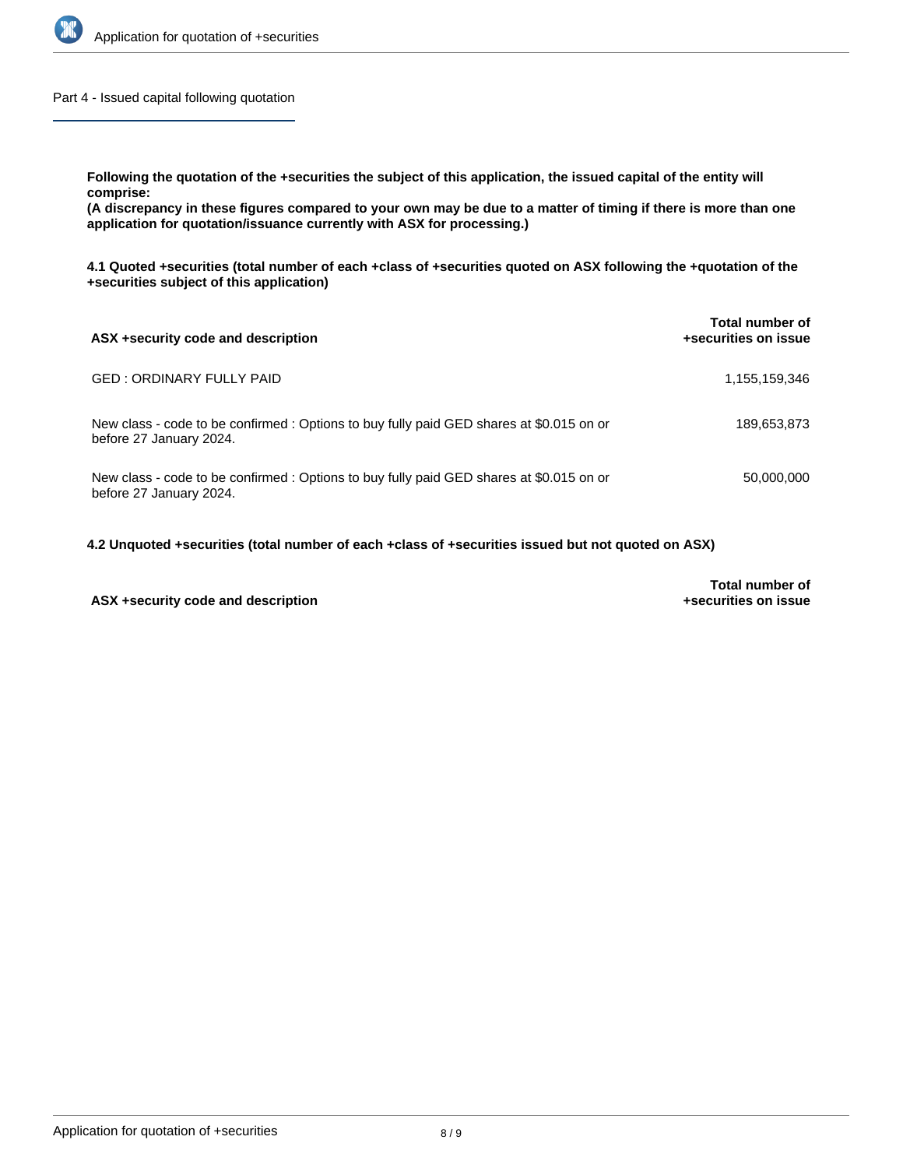

Part 4 - Issued capital following quotation

**Following the quotation of the +securities the subject of this application, the issued capital of the entity will comprise:**

**(A discrepancy in these figures compared to your own may be due to a matter of timing if there is more than one application for quotation/issuance currently with ASX for processing.)**

**4.1 Quoted +securities (total number of each +class of +securities quoted on ASX following the +quotation of the +securities subject of this application)**

| ASX +security code and description                                                                                  | Total number of<br>+securities on issue |
|---------------------------------------------------------------------------------------------------------------------|-----------------------------------------|
| GED : ORDINARY FULLY PAID                                                                                           | 1,155,159,346                           |
| New class - code to be confirmed : Options to buy fully paid GED shares at \$0.015 on or<br>before 27 January 2024. | 189,653,873                             |
| New class - code to be confirmed : Options to buy fully paid GED shares at \$0.015 on or<br>before 27 January 2024. | 50,000,000                              |

**4.2 Unquoted +securities (total number of each +class of +securities issued but not quoted on ASX)**

# **ASX +security code and description**

**Total number of +securities on issue**